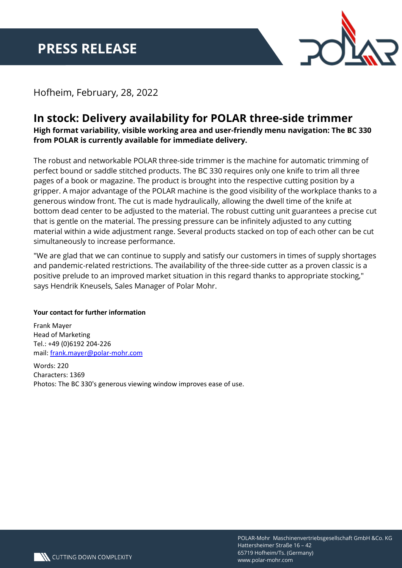

## Hofheim, February, 28, 2022

## **In stock: Delivery availability for POLAR three-side trimmer**

**High format variability, visible working area and user-friendly menu navigation: The BC 330 from POLAR is currently available for immediate delivery.**

The robust and networkable POLAR three-side trimmer is the machine for automatic trimming of perfect bound or saddle stitched products. The BC 330 requires only one knife to trim all three pages of a book or magazine. The product is brought into the respective cutting position by a gripper. A major advantage of the POLAR machine is the good visibility of the workplace thanks to a generous window front. The cut is made hydraulically, allowing the dwell time of the knife at bottom dead center to be adjusted to the material. The robust cutting unit guarantees a precise cut that is gentle on the material. The pressing pressure can be infinitely adjusted to any cutting material within a wide adjustment range. Several products stacked on top of each other can be cut simultaneously to increase performance.

"We are glad that we can continue to supply and satisfy our customers in times of supply shortages and pandemic-related restrictions. The availability of the three-side cutter as a proven classic is a positive prelude to an improved market situation in this regard thanks to appropriate stocking," says Hendrik Kneusels, Sales Manager of Polar Mohr.

## **Your contact for further information**

Frank Mayer Head of Marketing Tel.: +49 (0)6192 204-226 mail: frank.mayer@polar-mohr.com

Words: 220 Characters: 1369 Photos: The BC 330's generous viewing window improves ease of use.